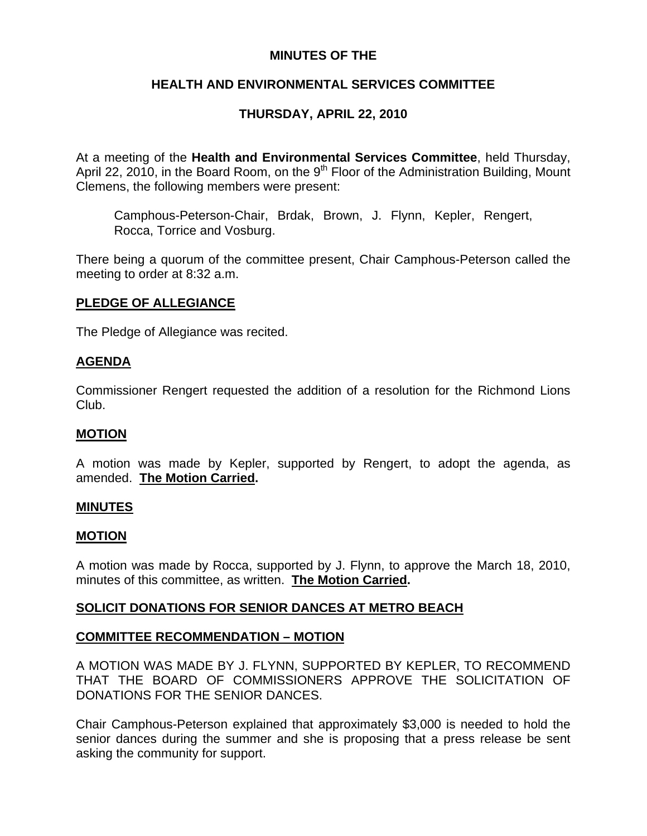## **MINUTES OF THE**

## **HEALTH AND ENVIRONMENTAL SERVICES COMMITTEE**

# **THURSDAY, APRIL 22, 2010**

At a meeting of the **Health and Environmental Services Committee**, held Thursday, April 22, 2010, in the Board Room, on the  $9<sup>th</sup>$  Floor of the Administration Building, Mount Clemens, the following members were present:

Camphous-Peterson-Chair, Brdak, Brown, J. Flynn, Kepler, Rengert, Rocca, Torrice and Vosburg.

There being a quorum of the committee present, Chair Camphous-Peterson called the meeting to order at 8:32 a.m.

## **PLEDGE OF ALLEGIANCE**

The Pledge of Allegiance was recited.

### **AGENDA**

Commissioner Rengert requested the addition of a resolution for the Richmond Lions Club.

#### **MOTION**

A motion was made by Kepler, supported by Rengert, to adopt the agenda, as amended. **The Motion Carried.** 

#### **MINUTES**

#### **MOTION**

A motion was made by Rocca, supported by J. Flynn, to approve the March 18, 2010, minutes of this committee, as written. **The Motion Carried.** 

## **SOLICIT DONATIONS FOR SENIOR DANCES AT METRO BEACH**

#### **COMMITTEE RECOMMENDATION – MOTION**

A MOTION WAS MADE BY J. FLYNN, SUPPORTED BY KEPLER, TO RECOMMEND THAT THE BOARD OF COMMISSIONERS APPROVE THE SOLICITATION OF DONATIONS FOR THE SENIOR DANCES.

Chair Camphous-Peterson explained that approximately \$3,000 is needed to hold the senior dances during the summer and she is proposing that a press release be sent asking the community for support.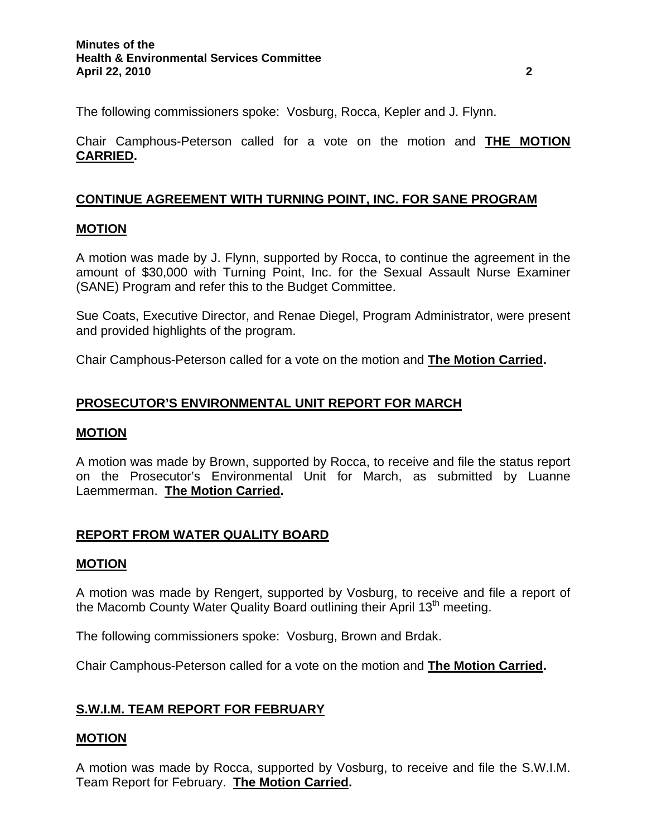The following commissioners spoke: Vosburg, Rocca, Kepler and J. Flynn.

Chair Camphous-Peterson called for a vote on the motion and **THE MOTION CARRIED.** 

## **CONTINUE AGREEMENT WITH TURNING POINT, INC. FOR SANE PROGRAM**

### **MOTION**

A motion was made by J. Flynn, supported by Rocca, to continue the agreement in the amount of \$30,000 with Turning Point, Inc. for the Sexual Assault Nurse Examiner (SANE) Program and refer this to the Budget Committee.

Sue Coats, Executive Director, and Renae Diegel, Program Administrator, were present and provided highlights of the program.

Chair Camphous-Peterson called for a vote on the motion and **The Motion Carried.** 

# **PROSECUTOR'S ENVIRONMENTAL UNIT REPORT FOR MARCH**

#### **MOTION**

A motion was made by Brown, supported by Rocca, to receive and file the status report on the Prosecutor's Environmental Unit for March, as submitted by Luanne Laemmerman. **The Motion Carried.** 

## **REPORT FROM WATER QUALITY BOARD**

#### **MOTION**

A motion was made by Rengert, supported by Vosburg, to receive and file a report of the Macomb County Water Quality Board outlining their April 13<sup>th</sup> meeting.

The following commissioners spoke: Vosburg, Brown and Brdak.

Chair Camphous-Peterson called for a vote on the motion and **The Motion Carried.** 

# **S.W.I.M. TEAM REPORT FOR FEBRUARY**

## **MOTION**

A motion was made by Rocca, supported by Vosburg, to receive and file the S.W.I.M. Team Report for February. **The Motion Carried.**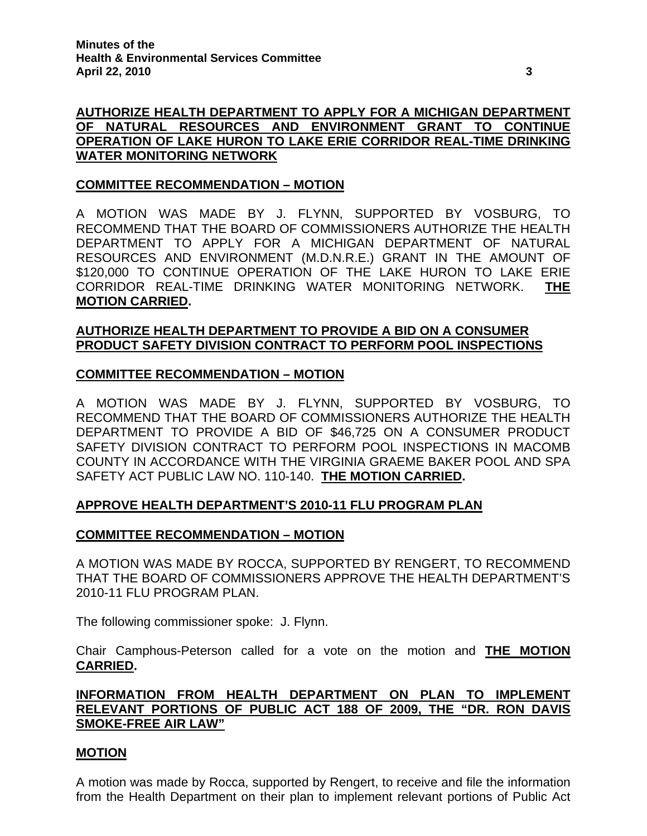#### **COMMITTEE RECOMMENDATION – MOTION**

A MOTION WAS MADE BY J. FLYNN, SUPPORTED BY VOSBURG, TO RECOMMEND THAT THE BOARD OF COMMISSIONERS AUTHORIZE THE HEALTH DEPARTMENT TO APPLY FOR A MICHIGAN DEPARTMENT OF NATURAL RESOURCES AND ENVIRONMENT (M.D.N.R.E.) GRANT IN THE AMOUNT OF \$120,000 TO CONTINUE OPERATION OF THE LAKE HURON TO LAKE ERIE CORRIDOR REAL-TIME DRINKING WATER MONITORING NETWORK. **THE MOTION CARRIED.** 

## **AUTHORIZE HEALTH DEPARTMENT TO PROVIDE A BID ON A CONSUMER PRODUCT SAFETY DIVISION CONTRACT TO PERFORM POOL INSPECTIONS**

### **COMMITTEE RECOMMENDATION – MOTION**

A MOTION WAS MADE BY J. FLYNN, SUPPORTED BY VOSBURG, TO RECOMMEND THAT THE BOARD OF COMMISSIONERS AUTHORIZE THE HEALTH DEPARTMENT TO PROVIDE A BID OF \$46,725 ON A CONSUMER PRODUCT SAFETY DIVISION CONTRACT TO PERFORM POOL INSPECTIONS IN MACOMB COUNTY IN ACCORDANCE WITH THE VIRGINIA GRAEME BAKER POOL AND SPA SAFETY ACT PUBLIC LAW NO. 110-140. **THE MOTION CARRIED.** 

## **APPROVE HEALTH DEPARTMENT'S 2010-11 FLU PROGRAM PLAN**

#### **COMMITTEE RECOMMENDATION – MOTION**

A MOTION WAS MADE BY ROCCA, SUPPORTED BY RENGERT, TO RECOMMEND THAT THE BOARD OF COMMISSIONERS APPROVE THE HEALTH DEPARTMENT'S 2010-11 FLU PROGRAM PLAN.

The following commissioner spoke: J. Flynn.

Chair Camphous-Peterson called for a vote on the motion and **THE MOTION CARRIED.** 

**INFORMATION FROM HEALTH DEPARTMENT ON PLAN TO IMPLEMENT RELEVANT PORTIONS OF PUBLIC ACT 188 OF 2009, THE "DR. RON DAVIS SMOKE-FREE AIR LAW"**

## **MOTION**

A motion was made by Rocca, supported by Rengert, to receive and file the information from the Health Department on their plan to implement relevant portions of Public Act